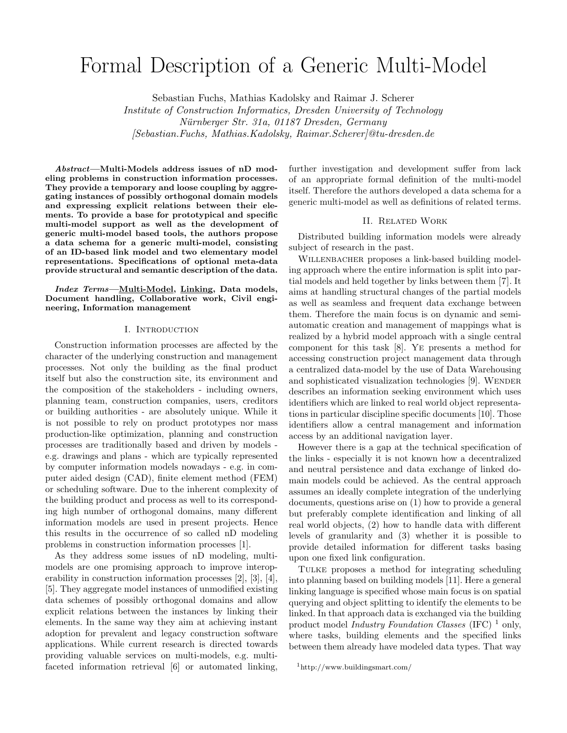# Formal Description of a Generic Multi-Model

Sebastian Fuchs, Mathias Kadolsky and Raimar J. Scherer

*Institute of Construction Informatics, Dresden University of Technology Nurnberger Str. 31a, 01187 Dresden, Germany ¨ [Sebastian.Fuchs, Mathias.Kadolsky, Raimar.Scherer]@tu-dresden.de*

*Abstract***—Multi-Models address issues of nD modeling problems in construction information processes. They provide a temporary and loose coupling by aggregating instances of possibly orthogonal domain models and expressing explicit relations between their elements. To provide a base for prototypical and specific multi-model support as well as the development of generic multi-model based tools, the authors propose a data schema for a generic multi-model, consisting of an ID-based link model and two elementary model representations. Specifications of optional meta-data provide structural and semantic description of the data.**

*Index Terms***—Multi-Model, Linking, Data models, Document handling, Collaborative work, Civil engineering, Information management**

#### I. Introduction

Construction information processes are affected by the character of the underlying construction and management processes. Not only the building as the final product itself but also the construction site, its environment and the composition of the stakeholders - including owners, planning team, construction companies, users, creditors or building authorities - are absolutely unique. While it is not possible to rely on product prototypes nor mass production-like optimization, planning and construction processes are traditionally based and driven by models e.g. drawings and plans - which are typically represented by computer information models nowadays - e.g. in computer aided design (CAD), finite element method (FEM) or scheduling software. Due to the inherent complexity of the building product and process as well to its corresponding high number of orthogonal domains, many different information models are used in present projects. Hence this results in the occurrence of so called nD modeling problems in construction information processes [1].

As they address some issues of nD modeling, multimodels are one promising approach to improve interoperability in construction information processes [2], [3], [4], [5]. They aggregate model instances of unmodified existing data schemes of possibly orthogonal domains and allow explicit relations between the instances by linking their elements. In the same way they aim at achieving instant adoption for prevalent and legacy construction software applications. While current research is directed towards providing valuable services on multi-models, e.g. multifaceted information retrieval [6] or automated linking,

further investigation and development suffer from lack of an appropriate formal definition of the multi-model itself. Therefore the authors developed a data schema for a generic multi-model as well as definitions of related terms.

## II. Related Work

Distributed building information models were already subject of research in the past.

WILLENBACHER proposes a link-based building modeling approach where the entire information is split into partial models and held together by links between them [7]. It aims at handling structural changes of the partial models as well as seamless and frequent data exchange between them. Therefore the main focus is on dynamic and semiautomatic creation and management of mappings what is realized by a hybrid model approach with a single central component for this task [8]. Ye presents a method for accessing construction project management data through a centralized data-model by the use of Data Warehousing and sophisticated visualization technologies [9]. WENDER describes an information seeking environment which uses identifiers which are linked to real world object representations in particular discipline specific documents [10]. Those identifiers allow a central management and information access by an additional navigation layer.

However there is a gap at the technical specification of the links - especially it is not known how a decentralized and neutral persistence and data exchange of linked domain models could be achieved. As the central approach assumes an ideally complete integration of the underlying documents, questions arise on (1) how to provide a general but preferably complete identification and linking of all real world objects, (2) how to handle data with different levels of granularity and (3) whether it is possible to provide detailed information for different tasks basing upon one fixed link configuration.

Tulke proposes a method for integrating scheduling into planning based on building models [11]. Here a general linking language is specified whose main focus is on spatial querying and object splitting to identify the elements to be linked. In that approach data is exchanged via the building product model *Industry Foundation Classes* (IFC) <sup>1</sup> only, where tasks, building elements and the specified links between them already have modeled data types. That way

<sup>1</sup>http://www.buildingsmart.com/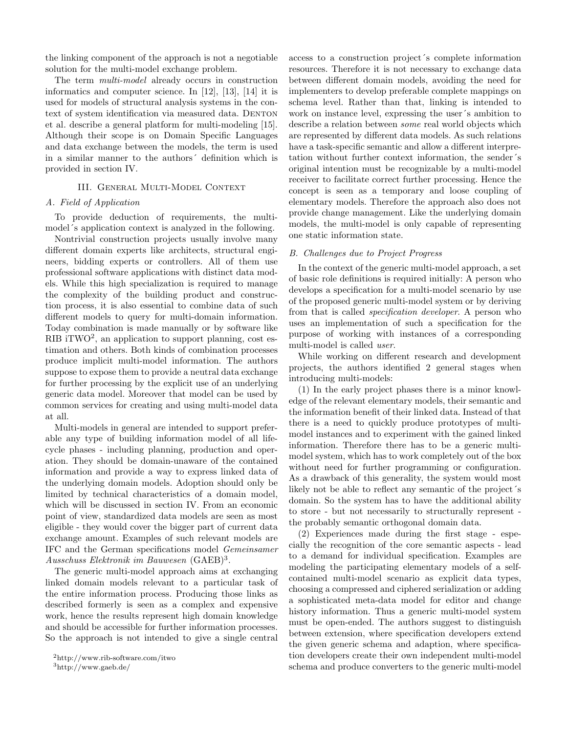the linking component of the approach is not a negotiable solution for the multi-model exchange problem.

The term *multi-model* already occurs in construction informatics and computer science. In [12], [13], [14] it is used for models of structural analysis systems in the context of system identification via measured data. DENTON et al. describe a general platform for multi-modeling [15]. Although their scope is on Domain Specific Languages and data exchange between the models, the term is used in a similar manner to the authors´ definition which is provided in section IV.

## III. General Multi-Model Context

#### *A. Field of Application*

To provide deduction of requirements, the multimodel´s application context is analyzed in the following.

Nontrivial construction projects usually involve many different domain experts like architects, structural engineers, bidding experts or controllers. All of them use professional software applications with distinct data models. While this high specialization is required to manage the complexity of the building product and construction process, it is also essential to combine data of such different models to query for multi-domain information. Today combination is made manually or by software like RIB iTWO<sup>2</sup>, an application to support planning, cost estimation and others. Both kinds of combination processes produce implicit multi-model information. The authors suppose to expose them to provide a neutral data exchange for further processing by the explicit use of an underlying generic data model. Moreover that model can be used by common services for creating and using multi-model data at all.

Multi-models in general are intended to support preferable any type of building information model of all lifecycle phases - including planning, production and operation. They should be domain-unaware of the contained information and provide a way to express linked data of the underlying domain models. Adoption should only be limited by technical characteristics of a domain model, which will be discussed in section IV. From an economic point of view, standardized data models are seen as most eligible - they would cover the bigger part of current data exchange amount. Examples of such relevant models are IFC and the German specifications model *Gemeinsamer Ausschuss Elektronik im Bauwesen* (GAEB)<sup>3</sup> .

The generic multi-model approach aims at exchanging linked domain models relevant to a particular task of the entire information process. Producing those links as described formerly is seen as a complex and expensive work, hence the results represent high domain knowledge and should be accessible for further information processes. So the approach is not intended to give a single central access to a construction project´s complete information resources. Therefore it is not necessary to exchange data between different domain models, avoiding the need for implementers to develop preferable complete mappings on schema level. Rather than that, linking is intended to work on instance level, expressing the user´s ambition to describe a relation between *some* real world objects which are represented by different data models. As such relations have a task-specific semantic and allow a different interpretation without further context information, the sender´s original intention must be recognizable by a multi-model receiver to facilitate correct further processing. Hence the concept is seen as a temporary and loose coupling of elementary models. Therefore the approach also does not provide change management. Like the underlying domain models, the multi-model is only capable of representing one static information state.

## *B. Challenges due to Project Progress*

In the context of the generic multi-model approach, a set of basic role definitions is required initially: A person who develops a specification for a multi-model scenario by use of the proposed generic multi-model system or by deriving from that is called *specification developer*. A person who uses an implementation of such a specification for the purpose of working with instances of a corresponding multi-model is called *user*.

While working on different research and development projects, the authors identified 2 general stages when introducing multi-models:

(1) In the early project phases there is a minor knowledge of the relevant elementary models, their semantic and the information benefit of their linked data. Instead of that there is a need to quickly produce prototypes of multimodel instances and to experiment with the gained linked information. Therefore there has to be a generic multimodel system, which has to work completely out of the box without need for further programming or configuration. As a drawback of this generality, the system would most likely not be able to reflect any semantic of the project´s domain. So the system has to have the additional ability to store - but not necessarily to structurally represent the probably semantic orthogonal domain data.

(2) Experiences made during the first stage - especially the recognition of the core semantic aspects - lead to a demand for individual specification. Examples are modeling the participating elementary models of a selfcontained multi-model scenario as explicit data types, choosing a compressed and ciphered serialization or adding a sophisticated meta-data model for editor and change history information. Thus a generic multi-model system must be open-ended. The authors suggest to distinguish between extension, where specification developers extend the given generic schema and adaption, where specification developers create their own independent multi-model schema and produce converters to the generic multi-model

<sup>2</sup>http://www.rib-software.com/itwo

<sup>3</sup>http://www.gaeb.de/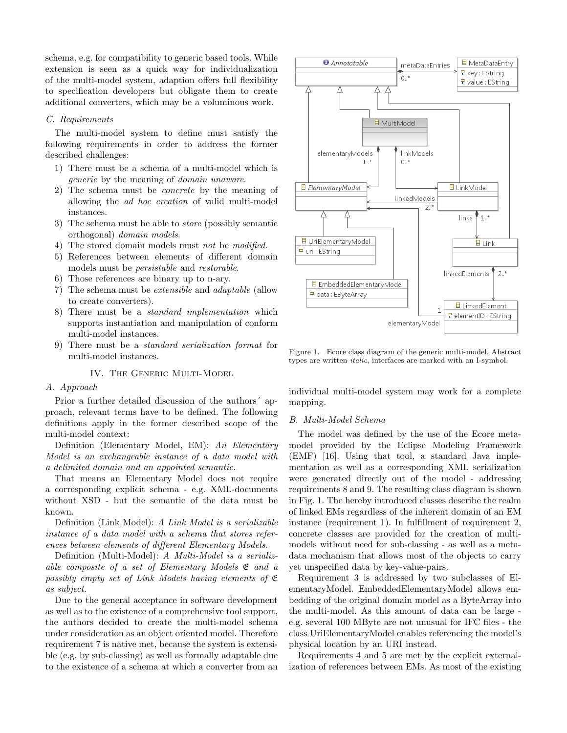schema, e.g. for compatibility to generic based tools. While extension is seen as a quick way for individualization of the multi-model system, adaption offers full flexibility to specification developers but obligate them to create additional converters, which may be a voluminous work.

#### *C. Requirements*

The multi-model system to define must satisfy the following requirements in order to address the former described challenges:

- 1) There must be a schema of a multi-model which is *generic* by the meaning of *domain unaware*.
- 2) The schema must be *concrete* by the meaning of allowing the *ad hoc creation* of valid multi-model instances.
- 3) The schema must be able to *store* (possibly semantic orthogonal) *domain models*.
- 4) The stored domain models must *not* be *modified*.
- 5) References between elements of different domain models must be *persistable* and *restorable*.
- 6) Those references are binary up to n-ary.
- 7) The schema must be *extensible* and *adaptable* (allow to create converters).
- 8) There must be a *standard implementation* which supports instantiation and manipulation of conform multi-model instances.
- 9) There must be a *standard serialization format* for multi-model instances.

## IV. THE GENERIC MULTI-MODEL

## *A. Approach*

Prior a further detailed discussion of the authors´ approach, relevant terms have to be defined. The following definitions apply in the former described scope of the multi-model context:

Definition (Elementary Model, EM): *An Elementary Model is an exchangeable instance of a data model with a delimited domain and an appointed semantic.*

That means an Elementary Model does not require a corresponding explicit schema - e.g. XML-documents without XSD - but the semantic of the data must be known.

Definition (Link Model): *A Link Model is a serializable instance of a data model with a schema that stores references between elements of different Elementary Models.*

Definition (Multi-Model): *A Multi-Model is a serializable composite of a set of Elementary Models* E *and a possibly empty set of Link Models having elements of* E *as subject.*

Due to the general acceptance in software development as well as to the existence of a comprehensive tool support, the authors decided to create the multi-model schema under consideration as an object oriented model. Therefore requirement 7 is native met, because the system is extensible (e.g. by sub-classing) as well as formally adaptable due to the existence of a schema at which a converter from an



Figure 1. Ecore class diagram of the generic multi-model. Abstract types are written *italic*, interfaces are marked with an I-symbol.

individual multi-model system may work for a complete mapping.

## *B. Multi-Model Schema*

The model was defined by the use of the Ecore metamodel provided by the Eclipse Modeling Framework (EMF) [16]. Using that tool, a standard Java implementation as well as a corresponding XML serialization were generated directly out of the model - addressing requirements 8 and 9. The resulting class diagram is shown in Fig. 1. The hereby introduced classes describe the realm of linked EMs regardless of the inherent domain of an EM instance (requirement 1). In fulfillment of requirement 2, concrete classes are provided for the creation of multimodels without need for sub-classing - as well as a metadata mechanism that allows most of the objects to carry yet unspecified data by key-value-pairs.

Requirement 3 is addressed by two subclasses of ElementaryModel. EmbeddedElementaryModel allows embedding of the original domain model as a ByteArray into the multi-model. As this amount of data can be large e.g. several 100 MByte are not unusual for IFC files - the class UriElementaryModel enables referencing the model's physical location by an URI instead.

Requirements 4 and 5 are met by the explicit externalization of references between EMs. As most of the existing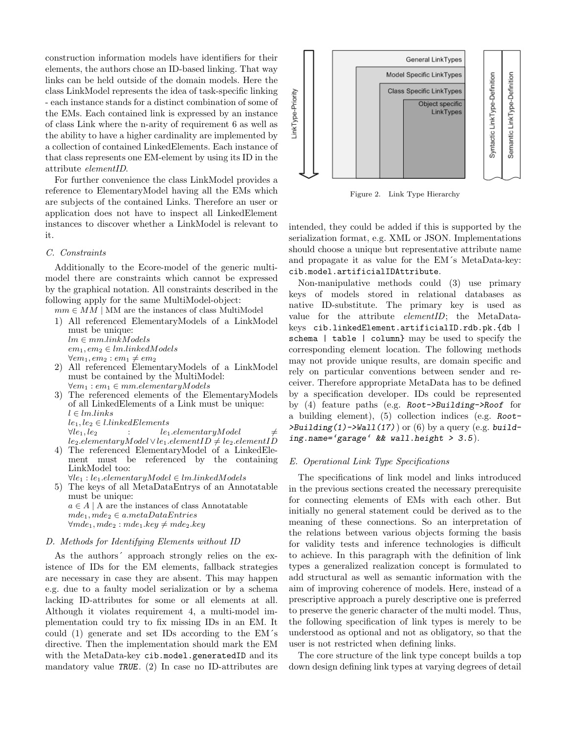construction information models have identifiers for their elements, the authors chose an ID-based linking. That way links can be held outside of the domain models. Here the class LinkModel represents the idea of task-specific linking - each instance stands for a distinct combination of some of the EMs. Each contained link is expressed by an instance of class Link where the n-arity of requirement 6 as well as the ability to have a higher cardinality are implemented by a collection of contained LinkedElements. Each instance of that class represents one EM-element by using its ID in the attribute *elementID*.

For further convenience the class LinkModel provides a reference to ElementaryModel having all the EMs which are subjects of the contained Links. Therefore an user or application does not have to inspect all LinkedElement instances to discover whether a LinkModel is relevant to it.

## *C. Constraints*

Additionally to the Ecore-model of the generic multimodel there are constraints which cannot be expressed by the graphical notation. All constraints described in the following apply for the same MultiModel-object:

*mm ∈ MM |* MM are the instances of class MultiModel

- 1) All referenced ElementaryModels of a LinkModel must be unique: *lm ∈ mm.linkModels*  $em_1, em_2 \in lm.linkedModels$ 
	- $\forall em_1, em_2 : em_1 \neq em_2$
- 2) All referenced ElementaryModels of a LinkModel must be contained by the MultiModel: *∀em*<sup>1</sup> : *em*<sup>1</sup> *∈ mm.elementaryModels*
- 3) The referenced elements of the ElementaryModels of all LinkedElements of a Link must be unique: *l ∈ lm.links le*1*, le*<sup>2</sup> *∈ l.linkedElements*
	- $\forall le_1, le_2$  :  $le_1.$  *elementaryModel*  $\neq$ *le*2*.elementaryModel∨le*1*.elementID ̸*= *le*2*.elementID*
- 4) The referenced ElementaryModel of a LinkedElement must be referenced by the containing LinkModel too:
	- *∀le*<sup>1</sup> : *le*1*.elementaryModel ∈ lm.linkedModels*
- 5) The keys of all MetaDataEntrys of an Annotatable must be unique: *a ∈ A |* A are the instances of class Annotatable *mde*1*, mde*<sup>2</sup> *∈ a.metaDataEntries*

 $\forall$ *mde*<sub>1</sub>*, mde*<sub>2</sub> : *mde*<sub>1</sub>*.key*  $\neq$  *mde*<sub>2</sub>*.key* 

#### *D. Methods for Identifying Elements without ID*

As the authors´ approach strongly relies on the existence of IDs for the EM elements, fallback strategies are necessary in case they are absent. This may happen e.g. due to a faulty model serialization or by a schema lacking ID-attributes for some or all elements at all. Although it violates requirement 4, a multi-model implementation could try to fix missing IDs in an EM. It could (1) generate and set IDs according to the EM´s directive. Then the implementation should mark the EM with the MetaData-key cib.model.generatedID and its mandatory value *TRUE*. (2) In case no ID-attributes are



Figure 2. Link Type Hierarchy

intended, they could be added if this is supported by the serialization format, e.g. XML or JSON. Implementations should choose a unique but representative attribute name and propagate it as value for the EM´s MetaData-key: cib.model.artificialIDAttribute.

Non-manipulative methods could (3) use primary keys of models stored in relational databases as native ID-substitute. The primary key is used as value for the attribute *elementID*; the MetaDatakeys cib.linkedElement.artificialID.rdb.pk.{db | schema | table | column} may be used to specify the corresponding element location. The following methods may not provide unique results, are domain specific and rely on particular conventions between sender and receiver. Therefore appropriate MetaData has to be defined by a specification developer. IDs could be represented by (4) feature paths (e.g. *Root->Building->Roof* for a building element), (5) collection indices (e.g. *Root- >Building(1)->Wall(17)*) or (6) by a query (e.g. *building.name='garage' && wall.height > 3.5*).

#### *E. Operational Link Type Specifications*

The specifications of link model and links introduced in the previous sections created the necessary prerequisite for connecting elements of EMs with each other. But initially no general statement could be derived as to the meaning of these connections. So an interpretation of the relations between various objects forming the basis for validity tests and inference technologies is difficult to achieve. In this paragraph with the definition of link types a generalized realization concept is formulated to add structural as well as semantic information with the aim of improving coherence of models. Here, instead of a prescriptive approach a purely descriptive one is preferred to preserve the generic character of the multi model. Thus, the following specification of link types is merely to be understood as optional and not as obligatory, so that the user is not restricted when defining links.

The core structure of the link type concept builds a top down design defining link types at varying degrees of detail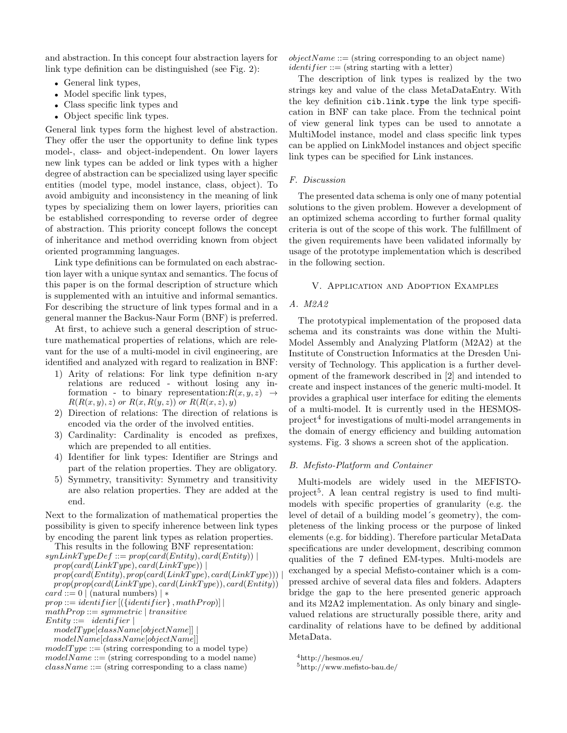and abstraction. In this concept four abstraction layers for link type definition can be distinguished (see Fig. 2):

- *•* General link types,
- Model specific link types,
- *•* Class specific link types and
- Object specific link types.

General link types form the highest level of abstraction. They offer the user the opportunity to define link types model-, class- and object-independent. On lower layers new link types can be added or link types with a higher degree of abstraction can be specialized using layer specific entities (model type, model instance, class, object). To avoid ambiguity and inconsistency in the meaning of link types by specializing them on lower layers, priorities can be established corresponding to reverse order of degree of abstraction. This priority concept follows the concept of inheritance and method overriding known from object oriented programming languages.

Link type definitions can be formulated on each abstraction layer with a unique syntax and semantics. The focus of this paper is on the formal description of structure which is supplemented with an intuitive and informal semantics. For describing the structure of link types formal and in a general manner the Backus-Naur Form (BNF) is preferred.

At first, to achieve such a general description of structure mathematical properties of relations, which are relevant for the use of a multi-model in civil engineering, are identified and analyzed with regard to realization in BNF:

- 1) Arity of relations: For link type definition n-ary relations are reduced - without losing any information - to binary representation: $R(x, y, z) \rightarrow$ *R*(*R*(*x, y*)*, z*) *or R*(*x, R*(*y, z*)) *or R*(*R*(*x, z*)*, y*)
- 2) Direction of relations: The direction of relations is encoded via the order of the involved entities.
- 3) Cardinality: Cardinality is encoded as prefixes, which are prepended to all entities.
- 4) Identifier for link types: Identifier are Strings and part of the relation properties. They are obligatory.
- 5) Symmetry, transitivity: Symmetry and transitivity are also relation properties. They are added at the end.

Next to the formalization of mathematical properties the possibility is given to specify inherence between link types by encoding the parent link types as relation properties.

```
This results in the following BNF representation:
synLinkTypeDef ::= prop(card(Entity), card(Entity))prop(card(LinkType), card(LinkType))prop(card(Entity), prop(card(LinkT ype), card(LinkT ype))) |
  prop(prop(card(LinkT ype), card(LinkT ype)), card(Entity))
card ::= 0 | (natural numbers) | ∗
prop ::= identifier [(\{identity\}, mathProp)]mathP rop ::= symmetric | transitive
Entity ::= identif ier |
  modelT ype[className[objectName]] |
  modelName[className[objectName]]
modelType ::= (string corresponding to a model type)
modelName ::= (string corresponding to a model name)className ::= (string corresponding to a class name)
```
 $objectName ::= (string corresponding to an object name)$  $identityier ::= (string starting with a letter)$ 

The description of link types is realized by the two strings key and value of the class MetaDataEntry. With the key definition cib.link.type the link type specification in BNF can take place. From the technical point of view general link types can be used to annotate a MultiModel instance, model and class specific link types can be applied on LinkModel instances and object specific link types can be specified for Link instances.

## *F. Discussion*

The presented data schema is only one of many potential solutions to the given problem. However a development of an optimized schema according to further formal quality criteria is out of the scope of this work. The fulfillment of the given requirements have been validated informally by usage of the prototype implementation which is described in the following section.

#### V. Application and Adoption Examples

# *A. M2A2*

The prototypical implementation of the proposed data schema and its constraints was done within the Multi-Model Assembly and Analyzing Platform (M2A2) at the Institute of Construction Informatics at the Dresden University of Technology. This application is a further development of the framework described in [2] and intended to create and inspect instances of the generic multi-model. It provides a graphical user interface for editing the elements of a multi-model. It is currently used in the HESMOSproject<sup>4</sup> for investigations of multi-model arrangements in the domain of energy efficiency and building automation systems. Fig. 3 shows a screen shot of the application.

#### *B. Mefisto-Platform and Container*

Multi-models are widely used in the MEFISTOproject<sup>5</sup>. A lean central registry is used to find multimodels with specific properties of granularity (e.g. the level of detail of a building model´s geometry), the completeness of the linking process or the purpose of linked elements (e.g. for bidding). Therefore particular MetaData specifications are under development, describing common qualities of the 7 defined EM-types. Multi-models are exchanged by a special Mefisto-container which is a compressed archive of several data files and folders. Adapters bridge the gap to the here presented generic approach and its M2A2 implementation. As only binary and singlevalued relations are structurally possible there, arity and cardinality of relations have to be defined by additional MetaData.

<sup>4</sup>http://hesmos.eu/

<sup>5</sup>http://www.mefisto-bau.de/